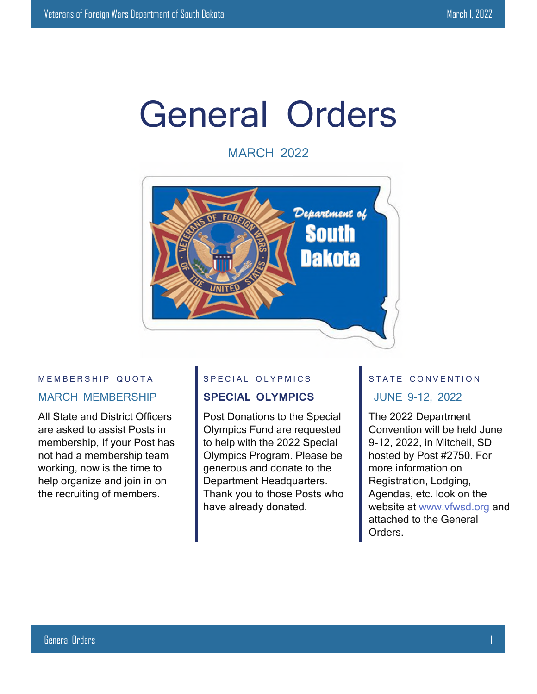## General Orders

MARCH 2022



#### MEMBERSHIP QUOTA MARCH MEMBERSHIP

All State and District Officers are asked to assist Posts in membership, If your Post has not had a membership team working, now is the time to help organize and join in on the recruiting of members.

#### S P E C IAL OLYPMICS

#### **SPECIAL OLYMPICS**

Post Donations to the Special Olympics Fund are requested to help with the 2022 Special Olympics Program. Please be generous and donate to the Department Headquarters. Thank you to those Posts who have already donated.

#### STATE CONVENTION JUNE 9-12, 2022

The 2022 Department Convention will be held June 9-12, 2022, in Mitchell, SD hosted by Post #2750. For more information on Registration, Lodging, Agendas, etc. look on the website at www.vfwsd.org and attached to the General Orders.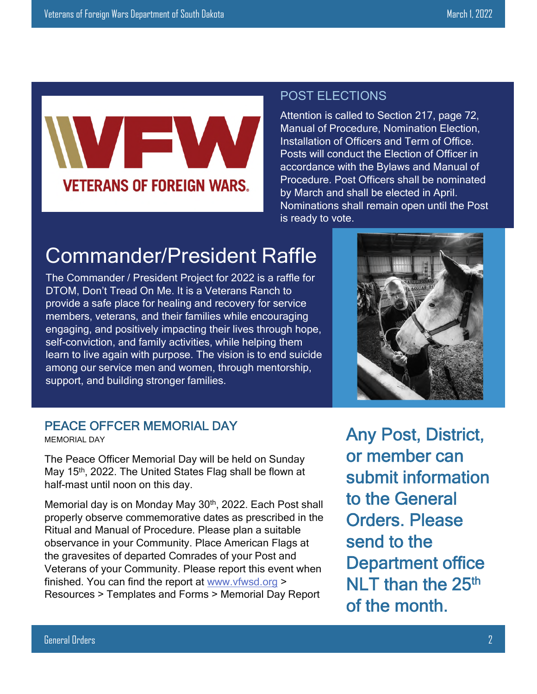# **VETERANS OF FOREIGN WARS.**

#### POST ELECTIONS

Attention is called to Section 217, page 72, Manual of Procedure, Nomination Election, Installation of Officers and Term of Office. Posts will conduct the Election of Officer in accordance with the Bylaws and Manual of Procedure. Post Officers shall be nominated by March and shall be elected in April. Nominations shall remain open until the Post is ready to vote.

## Commander/President Raffle

The Commander / President Project for 2022 is a raffle for DTOM, Don't Tread On Me. It is a Veterans Ranch to provide a safe place for healing and recovery for service members, veterans, and their families while encouraging engaging, and positively impacting their lives through hope, self-conviction, and family activities, while helping them learn to live again with purpose. The vision is to end suicide among our service men and women, through mentorship, support, and building stronger families.



#### PEACE OFFCER MEMORIAL DAY

MEMORIAL DAY

The Peace Officer Memorial Day will be held on Sunday May 15<sup>th</sup>, 2022. The United States Flag shall be flown at half-mast until noon on this day.

Memorial day is on Monday May 30<sup>th</sup>, 2022. Each Post shall properly observe commemorative dates as prescribed in the Ritual and Manual of Procedure. Please plan a suitable observance in your Community. Place American Flags at the gravesites of departed Comrades of your Post and Veterans of your Community. Please report this event when finished. You can find the report at www.vfwsd.org > Resources > Templates and Forms > Memorial Day Report

Any Post, District, or member can submit information to the General Orders. Please send to the Department office NLT than the  $25<sup>th</sup>$ of the month.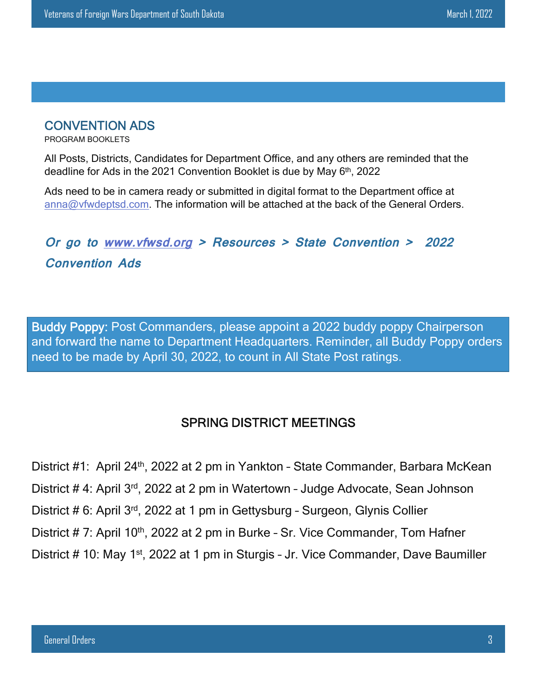#### CONVENTION ADS

PROGRAM BOOKLETS

All Posts, Districts, Candidates for Department Office, and any others are reminded that the deadline for Ads in the 2021 Convention Booklet is due by May 6<sup>th</sup>, 2022

Ads need to be in camera ready or submitted in digital format to the Department office at anna@vfwdeptsd.com. The information will be attached at the back of the General Orders.

## **Or go to www.vfwsd.org > Resources > State Convention > 2022 Convention Ads**

Buddy Poppy: Post Commanders, please appoint a 2022 buddy poppy Chairperson and forward the name to Department Headquarters. Reminder, all Buddy Poppy orders need to be made by April 30, 2022, to count in All State Post ratings.

### SPRING DISTRICT MEETINGS

District #1: April 24<sup>th</sup>, 2022 at 2 pm in Yankton - State Commander, Barbara McKean District # 4: April 3rd, 2022 at 2 pm in Watertown - Judge Advocate, Sean Johnson District # 6: April 3rd, 2022 at 1 pm in Gettysburg – Surgeon, Glynis Collier District # 7: April 10<sup>th</sup>, 2022 at 2 pm in Burke - Sr. Vice Commander, Tom Hafner District # 10: May 1st, 2022 at 1 pm in Sturgis – Jr. Vice Commander, Dave Baumiller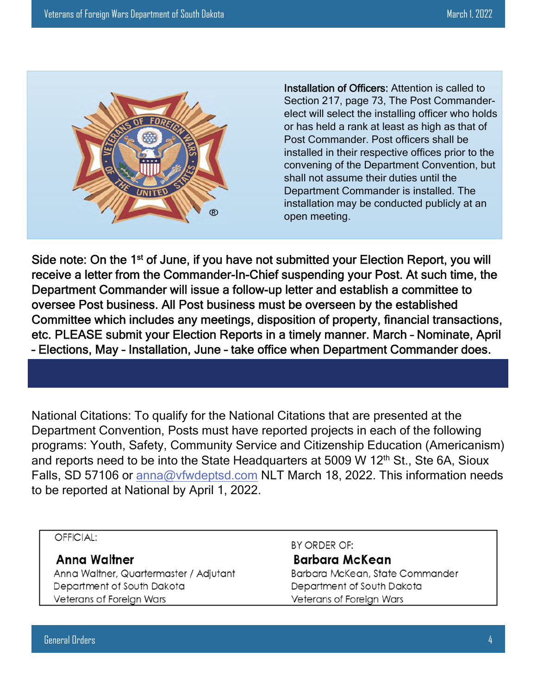

Installation of Officers: Attention is called to Section 217, page 73, The Post Commanderelect will select the installing officer who holds or has held a rank at least as high as that of Post Commander. Post officers shall be installed in their respective offices prior to the convening of the Department Convention, but shall not assume their duties until the Department Commander is installed. The installation may be conducted publicly at an open meeting.

Side note: On the 1<sup>st</sup> of June, if you have not submitted your Election Report, you will receive a letter from the Commander-In-Chief suspending your Post. At such time, the Department Commander will issue a follow-up letter and establish a committee to oversee Post business. All Post business must be overseen by the established Committee which includes any meetings, disposition of property, financial transactions, etc. PLEASE submit your Election Reports in a timely manner. March – Nominate, April – Elections, May – Installation, June – take office when Department Commander does.

National Citations: To qualify for the National Citations that are presented at the Department Convention, Posts must have reported projects in each of the following programs: Youth, Safety, Community Service and Citizenship Education (Americanism) and reports need to be into the State Headquarters at 5009 W 12<sup>th</sup> St., Ste 6A, Sioux Falls, SD 57106 or anna@vfwdeptsd.com NLT March 18, 2022. This information needs to be reported at National by April 1, 2022.

#### OFFICIAL:

#### **Anna Waltner**

Anna Waltner, Quartermaster / Adjutant Department of South Dakota Veterans of Foreign Wars

BY ORDER OF: **Barbara McKean** Barbara McKean, State Commander Department of South Dakota Veterans of Foreign Wars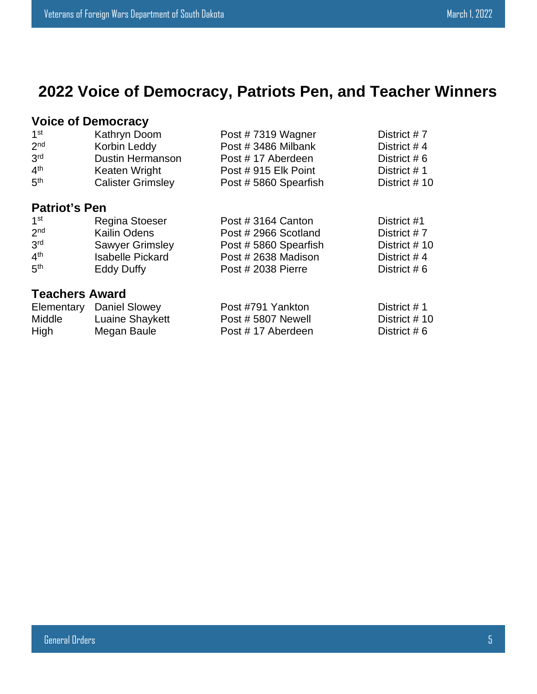## **2022 Voice of Democracy, Patriots Pen, and Teacher Winners**

#### **Voice of Democracy**

| 1 <sup>st</sup> | Kathryn Doom             | Post #7319 Wagner    | District #7    |
|-----------------|--------------------------|----------------------|----------------|
| 2 <sub>nd</sub> | Korbin Leddy             | Post #3486 Milbank   | District #4    |
| 3 <sup>rd</sup> | <b>Dustin Hermanson</b>  | Post #17 Aberdeen    | District # $6$ |
| 4 <sup>th</sup> | Keaten Wright            | Post #915 Elk Point  | District #1    |
| 5 <sup>th</sup> | <b>Calister Grimsley</b> | Post #5860 Spearfish | District #10   |

#### **Patriot's Pen**

| 1 <sup>st</sup> | <b>Regina Stoeser</b>   | Post #3164 Canton    | District #1    |
|-----------------|-------------------------|----------------------|----------------|
| 2 <sub>nd</sub> | Kailin Odens            | Post # 2966 Scotland | District #7    |
| 3 <sup>rd</sup> | <b>Sawyer Grimsley</b>  | Post #5860 Spearfish | District #10   |
| 4 <sup>th</sup> | <b>Isabelle Pickard</b> | Post #2638 Madison   | District #4    |
| 5 <sup>th</sup> | Eddy Duffy              | Post # 2038 Pierre   | District # $6$ |
|                 |                         |                      |                |

#### **Teachers Award**

|               | Elementary Daniel Slowey | Post #791 Yankton | District # 1   |
|---------------|--------------------------|-------------------|----------------|
| <b>Middle</b> | Luaine Shaykett          | Post #5807 Newell | District # 10  |
| High          | Megan Baule              | Post #17 Aberdeen | District # $6$ |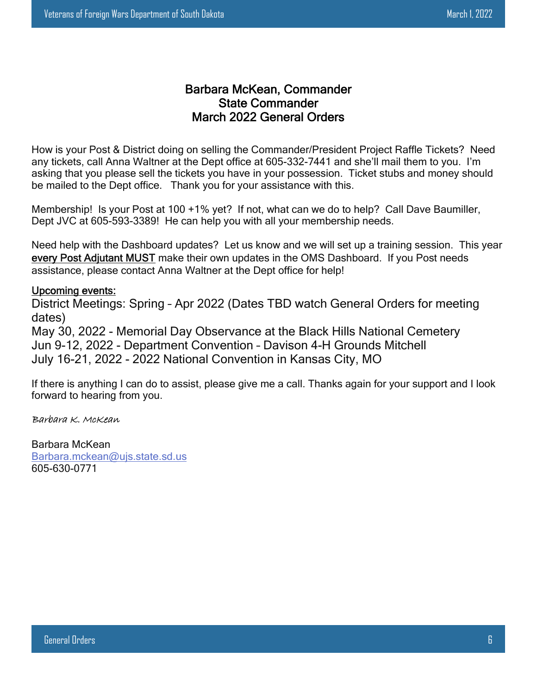#### Barbara McKean, Commander State Commander March 2022 General Orders

How is your Post & District doing on selling the Commander/President Project Raffle Tickets? Need any tickets, call Anna Waltner at the Dept office at 605-332-7441 and she'll mail them to you. I'm asking that you please sell the tickets you have in your possession. Ticket stubs and money should be mailed to the Dept office. Thank you for your assistance with this.

Membership! Is your Post at 100 +1% yet? If not, what can we do to help? Call Dave Baumiller, Dept JVC at 605-593-3389! He can help you with all your membership needs.

Need help with the Dashboard updates? Let us know and we will set up a training session. This year every Post Adjutant MUST make their own updates in the OMS Dashboard. If you Post needs assistance, please contact Anna Waltner at the Dept office for help!

#### Upcoming events:

District Meetings: Spring – Apr 2022 (Dates TBD watch General Orders for meeting dates)

May 30, 2022 - Memorial Day Observance at the Black Hills National Cemetery Jun 9-12, 2022 - Department Convention – Davison 4-H Grounds Mitchell July 16-21, 2022 - 2022 National Convention in Kansas City, MO

If there is anything I can do to assist, please give me a call. Thanks again for your support and I look forward to hearing from you.

#### Barbara K. McKean

Barbara McKean Barbara.mckean@ujs.state.sd.us 605-630-0771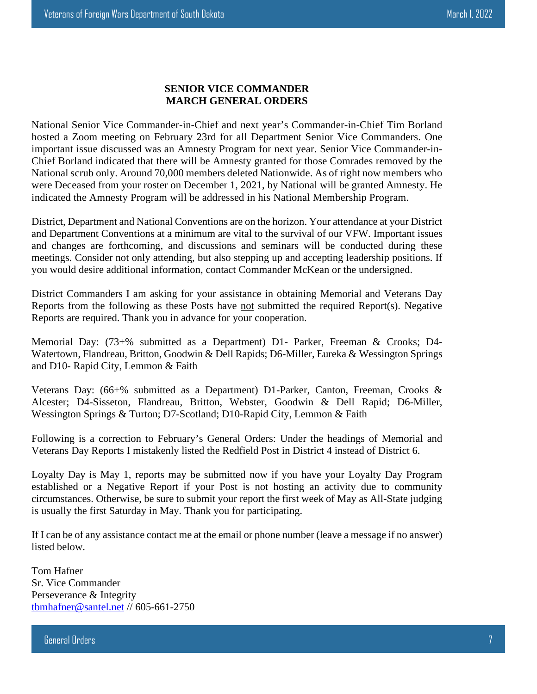#### **SENIOR VICE COMMANDER MARCH GENERAL ORDERS**

National Senior Vice Commander-in-Chief and next year's Commander-in-Chief Tim Borland hosted a Zoom meeting on February 23rd for all Department Senior Vice Commanders. One important issue discussed was an Amnesty Program for next year. Senior Vice Commander-in-Chief Borland indicated that there will be Amnesty granted for those Comrades removed by the National scrub only. Around 70,000 members deleted Nationwide. As of right now members who were Deceased from your roster on December 1, 2021, by National will be granted Amnesty. He indicated the Amnesty Program will be addressed in his National Membership Program.

District, Department and National Conventions are on the horizon. Your attendance at your District and Department Conventions at a minimum are vital to the survival of our VFW. Important issues and changes are forthcoming, and discussions and seminars will be conducted during these meetings. Consider not only attending, but also stepping up and accepting leadership positions. If you would desire additional information, contact Commander McKean or the undersigned.

District Commanders I am asking for your assistance in obtaining Memorial and Veterans Day Reports from the following as these Posts have not submitted the required Report(s). Negative Reports are required. Thank you in advance for your cooperation.

Memorial Day: (73+% submitted as a Department) D1- Parker, Freeman & Crooks; D4- Watertown, Flandreau, Britton, Goodwin & Dell Rapids; D6-Miller, Eureka & Wessington Springs and D10- Rapid City, Lemmon & Faith

Veterans Day: (66+% submitted as a Department) D1-Parker, Canton, Freeman, Crooks & Alcester; D4-Sisseton, Flandreau, Britton, Webster, Goodwin & Dell Rapid; D6-Miller, Wessington Springs & Turton; D7-Scotland; D10-Rapid City, Lemmon & Faith

Following is a correction to February's General Orders: Under the headings of Memorial and Veterans Day Reports I mistakenly listed the Redfield Post in District 4 instead of District 6.

Loyalty Day is May 1, reports may be submitted now if you have your Loyalty Day Program established or a Negative Report if your Post is not hosting an activity due to community circumstances. Otherwise, be sure to submit your report the first week of May as All-State judging is usually the first Saturday in May. Thank you for participating.

If I can be of any assistance contact me at the email or phone number (leave a message if no answer) listed below.

Tom Hafner Sr. Vice Commander Perseverance & Integrity tbmhafner@santel.net // 605-661-2750

General Orders 7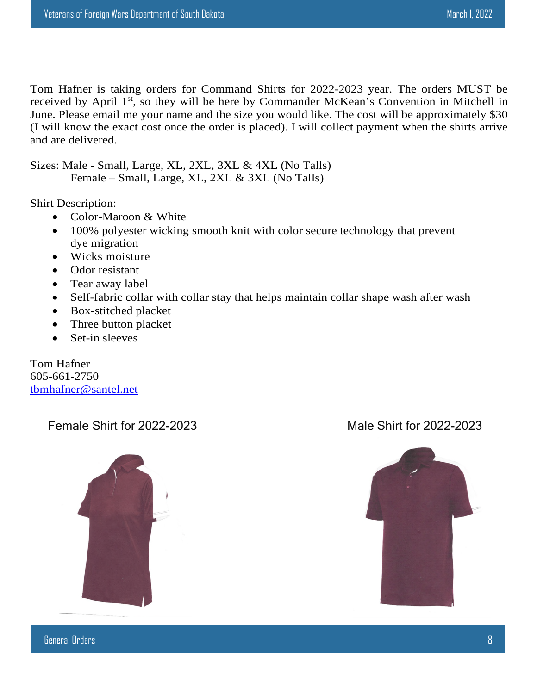Tom Hafner is taking orders for Command Shirts for 2022-2023 year. The orders MUST be received by April 1<sup>st</sup>, so they will be here by Commander McKean's Convention in Mitchell in June. Please email me your name and the size you would like. The cost will be approximately \$30 (I will know the exact cost once the order is placed). I will collect payment when the shirts arrive and are delivered.

Sizes: Male - Small, Large, XL, 2XL, 3XL & 4XL (No Talls) Female – Small, Large, XL, 2XL & 3XL (No Talls)

Shirt Description:

- Color-Maroon & White
- 100% polyester wicking smooth knit with color secure technology that prevent dye migration
- Wicks moisture
- Odor resistant
- Tear away label
- Self-fabric collar with collar stay that helps maintain collar shape wash after wash
- Box-stitched placket
- Three button placket
- Set-in sleeves

Tom Hafner 605-661-2750 tbmhafner@santel.net

Female Shirt for 2022-2023 Male Shirt for 2022-2023

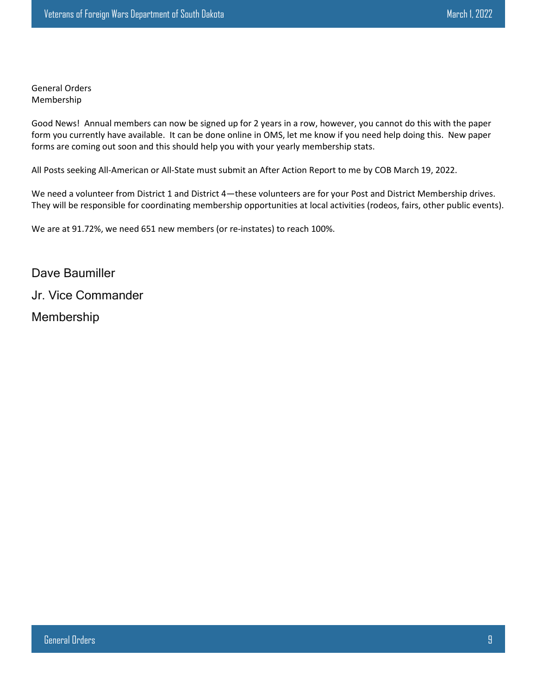General Orders Membership

Good News! Annual members can now be signed up for 2 years in a row, however, you cannot do this with the paper form you currently have available. It can be done online in OMS, let me know if you need help doing this. New paper forms are coming out soon and this should help you with your yearly membership stats.

All Posts seeking All-American or All-State must submit an After Action Report to me by COB March 19, 2022.

We need a volunteer from District 1 and District 4—these volunteers are for your Post and District Membership drives. They will be responsible for coordinating membership opportunities at local activities (rodeos, fairs, other public events).

We are at 91.72%, we need 651 new members (or re-instates) to reach 100%.

Dave Baumiller Jr. Vice Commander Membership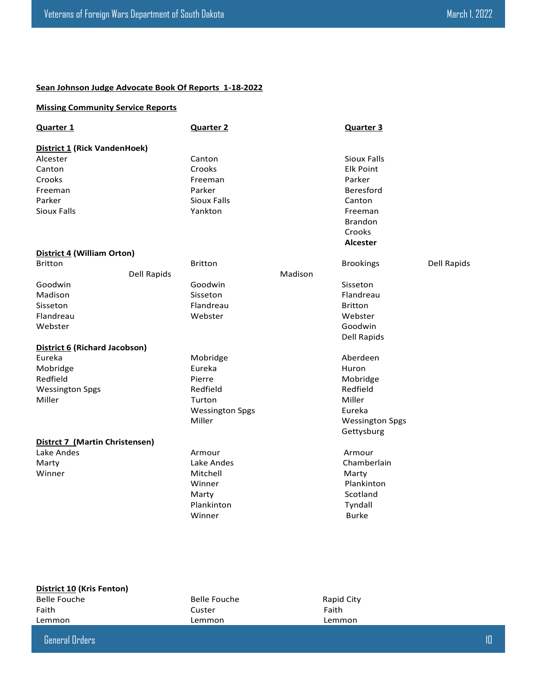#### **Sean Johnson Judge Advocate Book Of Reports 1-18-2022**

#### **Missing Community Service Reports**

| <b>Quarter 1</b>                    |                    | <b>Quarter 2</b>       |         | <b>Quarter 3</b>       |             |
|-------------------------------------|--------------------|------------------------|---------|------------------------|-------------|
| <b>District 1 (Rick VandenHoek)</b> |                    |                        |         |                        |             |
| Alcester                            |                    | Canton                 |         | <b>Sioux Falls</b>     |             |
| Canton                              |                    | Crooks                 |         | <b>Elk Point</b>       |             |
| Crooks                              |                    | Freeman                |         | Parker                 |             |
| Freeman                             |                    | Parker                 |         | Beresford              |             |
| Parker                              |                    | <b>Sioux Falls</b>     |         | Canton                 |             |
| <b>Sioux Falls</b>                  |                    | Yankton                |         | Freeman                |             |
|                                     |                    |                        |         | <b>Brandon</b>         |             |
|                                     |                    |                        |         | Crooks                 |             |
|                                     |                    |                        |         | <b>Alcester</b>        |             |
| District 4 (William Orton)          |                    |                        |         |                        |             |
| <b>Britton</b>                      |                    | <b>Britton</b>         |         | <b>Brookings</b>       | Dell Rapids |
|                                     | <b>Dell Rapids</b> |                        | Madison |                        |             |
| Goodwin                             |                    | Goodwin                |         | Sisseton               |             |
| Madison                             |                    | Sisseton               |         | Flandreau              |             |
| Sisseton                            |                    | Flandreau              |         | <b>Britton</b>         |             |
| Flandreau                           |                    | Webster                |         | Webster                |             |
| Webster                             |                    |                        |         | Goodwin                |             |
|                                     |                    |                        |         | <b>Dell Rapids</b>     |             |
| District 6 (Richard Jacobson)       |                    |                        |         |                        |             |
| Eureka                              |                    | Mobridge               |         | Aberdeen               |             |
| Mobridge                            |                    | Eureka                 |         | Huron                  |             |
| Redfield                            |                    | Pierre                 |         | Mobridge               |             |
| <b>Wessington Spgs</b>              |                    | Redfield               |         | Redfield               |             |
| Miller                              |                    | Turton                 |         | Miller                 |             |
|                                     |                    | <b>Wessington Spgs</b> |         | Eureka                 |             |
|                                     |                    | Miller                 |         | <b>Wessington Spgs</b> |             |
|                                     |                    |                        |         | Gettysburg             |             |
| Distrct 7 (Martin Christensen)      |                    |                        |         |                        |             |
| Lake Andes                          |                    | Armour                 |         | Armour                 |             |
| Marty                               |                    | Lake Andes             |         | Chamberlain            |             |
| Winner                              |                    | Mitchell               |         | Marty                  |             |
|                                     |                    | Winner                 |         | Plankinton             |             |
|                                     |                    | Marty                  |         | Scotland               |             |
|                                     |                    | Plankinton             |         | Tyndall                |             |
|                                     |                    | Winner                 |         | <b>Burke</b>           |             |
|                                     |                    |                        |         |                        |             |
|                                     |                    |                        |         |                        |             |

| District 10 (Kris Fenton) |  |  |
|---------------------------|--|--|
|---------------------------|--|--|

Belle Fouche Belle Fouche Rapid City Faith **Faith** Custer **Custer Faith** Lemmon Lemmon Lemmon Lemmon Lemmon

General Orders 10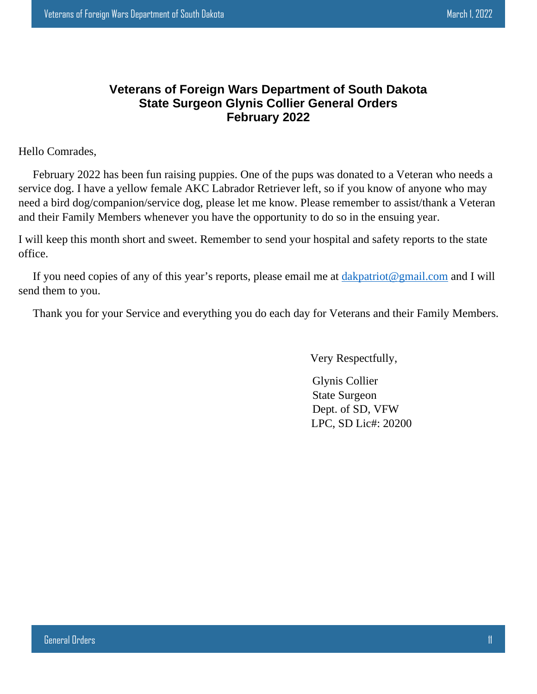#### **Veterans of Foreign Wars Department of South Dakota State Surgeon Glynis Collier General Orders February 2022**

Hello Comrades,

 February 2022 has been fun raising puppies. One of the pups was donated to a Veteran who needs a service dog. I have a yellow female AKC Labrador Retriever left, so if you know of anyone who may need a bird dog/companion/service dog, please let me know. Please remember to assist/thank a Veteran and their Family Members whenever you have the opportunity to do so in the ensuing year.

I will keep this month short and sweet. Remember to send your hospital and safety reports to the state office.

If you need copies of any of this year's reports, please email me at dakpatriot@gmail.com and I will send them to you.

Thank you for your Service and everything you do each day for Veterans and their Family Members.

Very Respectfully,

 Glynis Collier State Surgeon Dept. of SD, VFW LPC, SD Lic#: 20200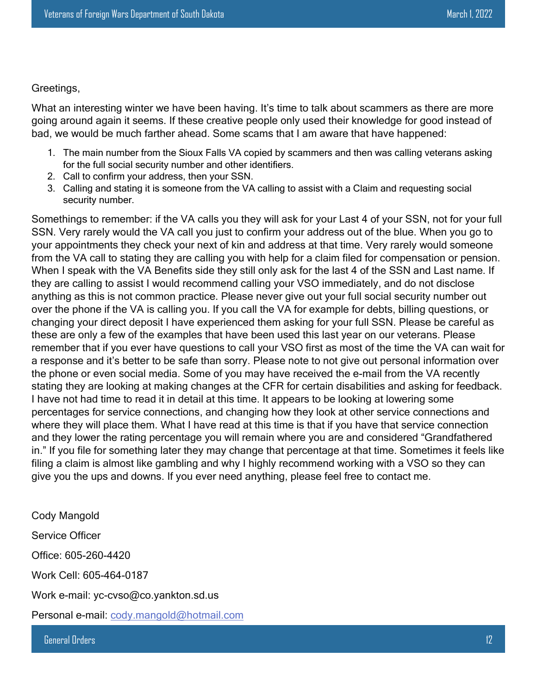#### Greetings,

What an interesting winter we have been having. It's time to talk about scammers as there are more going around again it seems. If these creative people only used their knowledge for good instead of bad, we would be much farther ahead. Some scams that I am aware that have happened:

- 1. The main number from the Sioux Falls VA copied by scammers and then was calling veterans asking for the full social security number and other identifiers.
- 2. Call to confirm your address, then your SSN.
- 3. Calling and stating it is someone from the VA calling to assist with a Claim and requesting social security number.

Somethings to remember: if the VA calls you they will ask for your Last 4 of your SSN, not for your full SSN. Very rarely would the VA call you just to confirm your address out of the blue. When you go to your appointments they check your next of kin and address at that time. Very rarely would someone from the VA call to stating they are calling you with help for a claim filed for compensation or pension. When I speak with the VA Benefits side they still only ask for the last 4 of the SSN and Last name. If they are calling to assist I would recommend calling your VSO immediately, and do not disclose anything as this is not common practice. Please never give out your full social security number out over the phone if the VA is calling you. If you call the VA for example for debts, billing questions, or changing your direct deposit I have experienced them asking for your full SSN. Please be careful as these are only a few of the examples that have been used this last year on our veterans. Please remember that if you ever have questions to call your VSO first as most of the time the VA can wait for a response and it's better to be safe than sorry. Please note to not give out personal information over the phone or even social media. Some of you may have received the e-mail from the VA recently stating they are looking at making changes at the CFR for certain disabilities and asking for feedback. I have not had time to read it in detail at this time. It appears to be looking at lowering some percentages for service connections, and changing how they look at other service connections and where they will place them. What I have read at this time is that if you have that service connection and they lower the rating percentage you will remain where you are and considered "Grandfathered in." If you file for something later they may change that percentage at that time. Sometimes it feels like filing a claim is almost like gambling and why I highly recommend working with a VSO so they can give you the ups and downs. If you ever need anything, please feel free to contact me.

Cody Mangold

Service Officer

Office: 605-260-4420

Work Cell: 605-464-0187

Work e-mail: yc-cvso@co.yankton.sd.us

Personal e-mail: cody.mangold@hotmail.com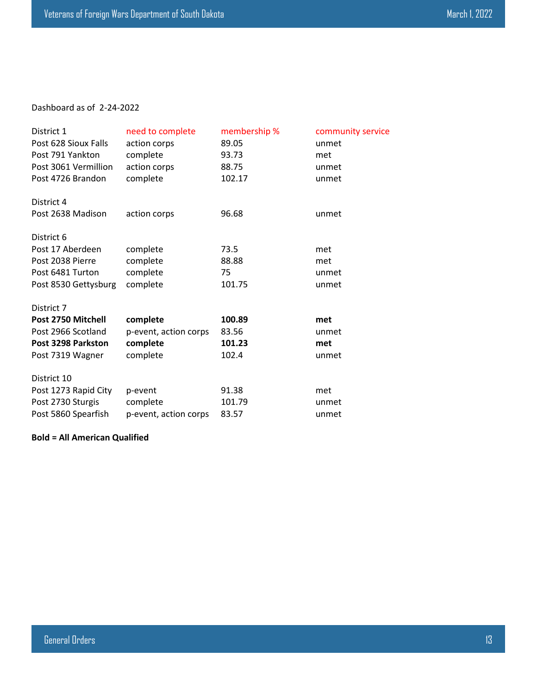#### Dashboard as of 2-24-2022

| District 1           | need to complete      | membership % | community service |
|----------------------|-----------------------|--------------|-------------------|
| Post 628 Sioux Falls | action corps          | 89.05        | unmet             |
| Post 791 Yankton     | complete              | 93.73        | met               |
| Post 3061 Vermillion | action corps          | 88.75        | unmet             |
| Post 4726 Brandon    | complete              | 102.17       | unmet             |
| District 4           |                       |              |                   |
| Post 2638 Madison    | action corps          | 96.68        | unmet             |
| District 6           |                       |              |                   |
| Post 17 Aberdeen     | complete              | 73.5         | met               |
| Post 2038 Pierre     | complete              | 88.88        | met               |
| Post 6481 Turton     | complete              | 75           | unmet             |
| Post 8530 Gettysburg | complete              | 101.75       | unmet             |
| District 7           |                       |              |                   |
| Post 2750 Mitchell   | complete              | 100.89       | met               |
| Post 2966 Scotland   | p-event, action corps | 83.56        | unmet             |
| Post 3298 Parkston   | complete              | 101.23       | met               |
| Post 7319 Wagner     | complete              | 102.4        | unmet             |
| District 10          |                       |              |                   |
| Post 1273 Rapid City | p-event               | 91.38        | met               |
| Post 2730 Sturgis    | complete              | 101.79       | unmet             |
| Post 5860 Spearfish  | p-event, action corps | 83.57        | unmet             |

**Bold = All American Qualified**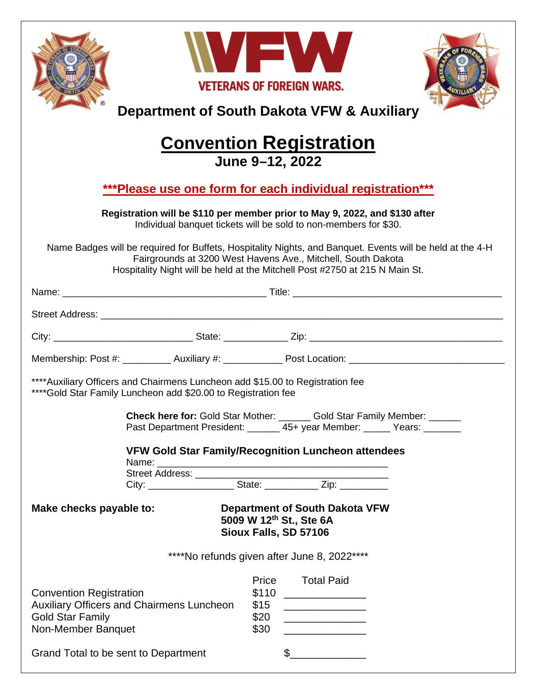|                                                                                                                                                                                                                                                                                                                                                                                                                                                                           |                                                                                                                                                  |                               | WFW<br><b>VETERANS OF FOREIGN WARS.</b><br>Department of South Dakota VFW & Auxiliary                                                                                                                                             |  |  |
|---------------------------------------------------------------------------------------------------------------------------------------------------------------------------------------------------------------------------------------------------------------------------------------------------------------------------------------------------------------------------------------------------------------------------------------------------------------------------|--------------------------------------------------------------------------------------------------------------------------------------------------|-------------------------------|-----------------------------------------------------------------------------------------------------------------------------------------------------------------------------------------------------------------------------------|--|--|
|                                                                                                                                                                                                                                                                                                                                                                                                                                                                           |                                                                                                                                                  |                               | <b>Convention Registration</b><br>June 9-12, 2022                                                                                                                                                                                 |  |  |
| ***Please use one form for each individual registration***<br>Registration will be \$110 per member prior to May 9, 2022, and \$130 after<br>Individual banquet tickets will be sold to non-members for \$30.<br>Name Badges will be required for Buffets, Hospitality Nights, and Banquet. Events will be held at the 4-H<br>Fairgrounds at 3200 West Havens Ave., Mitchell, South Dakota<br>Hospitality Night will be held at the Mitchell Post #2750 at 215 N Main St. |                                                                                                                                                  |                               |                                                                                                                                                                                                                                   |  |  |
|                                                                                                                                                                                                                                                                                                                                                                                                                                                                           |                                                                                                                                                  |                               |                                                                                                                                                                                                                                   |  |  |
|                                                                                                                                                                                                                                                                                                                                                                                                                                                                           |                                                                                                                                                  |                               |                                                                                                                                                                                                                                   |  |  |
|                                                                                                                                                                                                                                                                                                                                                                                                                                                                           |                                                                                                                                                  |                               |                                                                                                                                                                                                                                   |  |  |
|                                                                                                                                                                                                                                                                                                                                                                                                                                                                           |                                                                                                                                                  |                               | Membership: Post #: ___________ Auxiliary #: ______________ Post Location: ___________________________________                                                                                                                    |  |  |
|                                                                                                                                                                                                                                                                                                                                                                                                                                                                           | **** Auxiliary Officers and Chairmens Luncheon add \$15.00 to Registration fee<br>**** Gold Star Family Luncheon add \$20.00 to Registration fee |                               | Check here for: Gold Star Mother: ______ Gold Star Family Member: ______                                                                                                                                                          |  |  |
| Make checks payable to:                                                                                                                                                                                                                                                                                                                                                                                                                                                   |                                                                                                                                                  |                               | Past Department President: ______ 45+ year Member: _____ Years: ______<br><b>VFW Gold Star Family/Recognition Luncheon attendees</b><br><b>Department of South Dakota VFW</b><br>5009 W 12th St., Ste 6A<br>Sioux Falls, SD 57106 |  |  |
| <b>Convention Registration</b><br>Auxiliary Officers and Chairmens Luncheon<br><b>Gold Star Family</b><br>Non-Member Banquet<br>Grand Total to be sent to Department                                                                                                                                                                                                                                                                                                      |                                                                                                                                                  | \$110<br>\$15<br>\$20<br>\$30 | ****No refunds given after June 8, 2022****<br>Price Total Paid<br><u> Alexandria (Carlo Carlo Carlo Carlo Carlo Carlo Carlo Carlo Carlo Carlo Carlo Carlo Carlo Carlo Carlo Carlo Ca</u><br>$\frac{1}{2}$                        |  |  |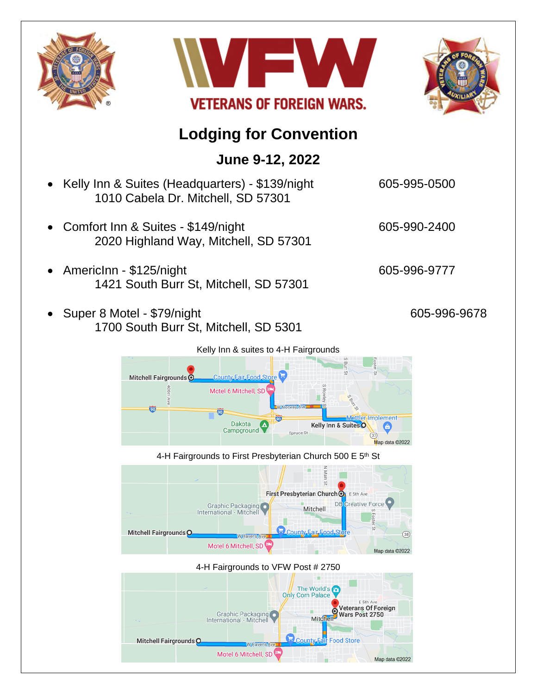





## **Lodging for Convention**

### **June 9-12, 2022**

- Kelly Inn & Suites (Headquarters) \$139/night 605-995-0500 1010 Cabela Dr. Mitchell, SD 57301
- Comfort Inn & Suites \$149/night 605-990-2400 2020 Highland Way, Mitchell, SD 57301
- AmericInn \$125/night 605-996-9777 1421 South Burr St, Mitchell, SD 57301
- Super 8 Motel \$79/night 605-996-9678 1700 South Burr St, Mitchell, SD 5301







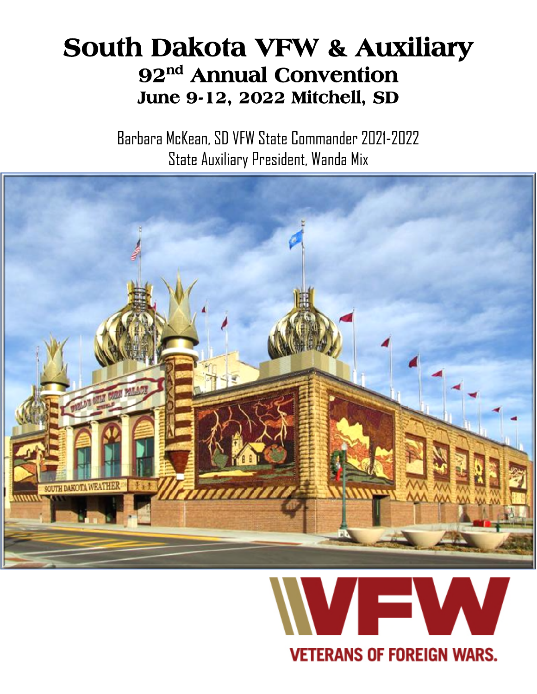## **South Dakota VFW & Auxiliary 92nd Annual Convention June 9-12, 2022 Mitchell, SD**

Barbara McKean, SD VFW State Commander 2021-2022 State Auxiliary President, Wanda Mix



## **VETERANS OF FOREIGN WARS.**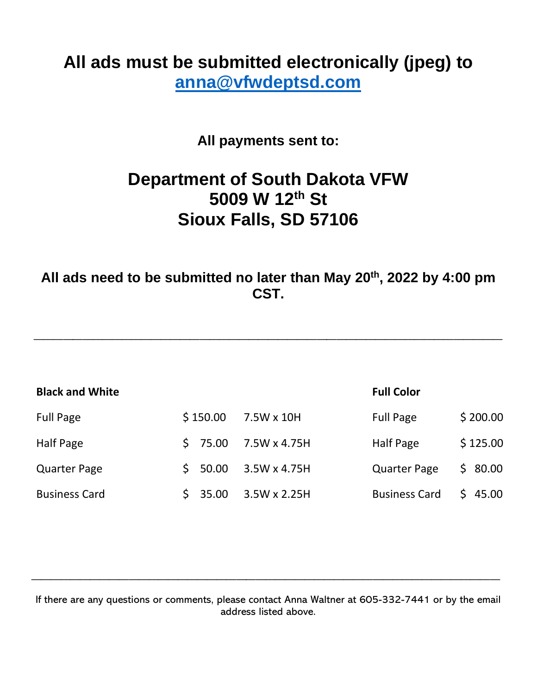## **All ads must be submitted electronically (jpeg) to anna@vfwdeptsd.com**

**All payments sent to:** 

## **Department of South Dakota VFW 5009 W 12th St Sioux Falls, SD 57106**

**All ads need to be submitted no later than May 20th, 2022 by 4:00 pm CST.** 

**\_\_\_\_\_\_\_\_\_\_\_\_\_\_\_\_\_\_\_\_\_\_\_\_\_\_\_\_\_\_\_\_\_\_\_\_\_\_\_\_\_\_\_\_\_\_\_\_** 

| <b>Black and White</b> |             |                     | <b>Full Color</b>    |          |
|------------------------|-------------|---------------------|----------------------|----------|
| <b>Full Page</b>       | \$150.00    | 7.5W x 10H          | <b>Full Page</b>     | \$200.00 |
| <b>Half Page</b>       | 75.00<br>S. | 7.5W x 4.75H        | <b>Half Page</b>     | \$125.00 |
| <b>Quarter Page</b>    | 50.00<br>S. | 3.5W x 4.75H        | <b>Quarter Page</b>  | \$80.00  |
| <b>Business Card</b>   | 35.00       | $3.5W \times 2.25H$ | <b>Business Card</b> | \$45.00  |

If there are any questions or comments, please contact Anna Waltner at 605-332-7441 or by the email address listed above.

**\_\_\_\_\_\_\_\_\_\_\_\_\_\_\_\_\_\_\_\_\_\_\_\_\_\_\_\_\_\_\_\_\_\_\_\_\_\_\_\_\_\_\_\_\_\_\_\_**